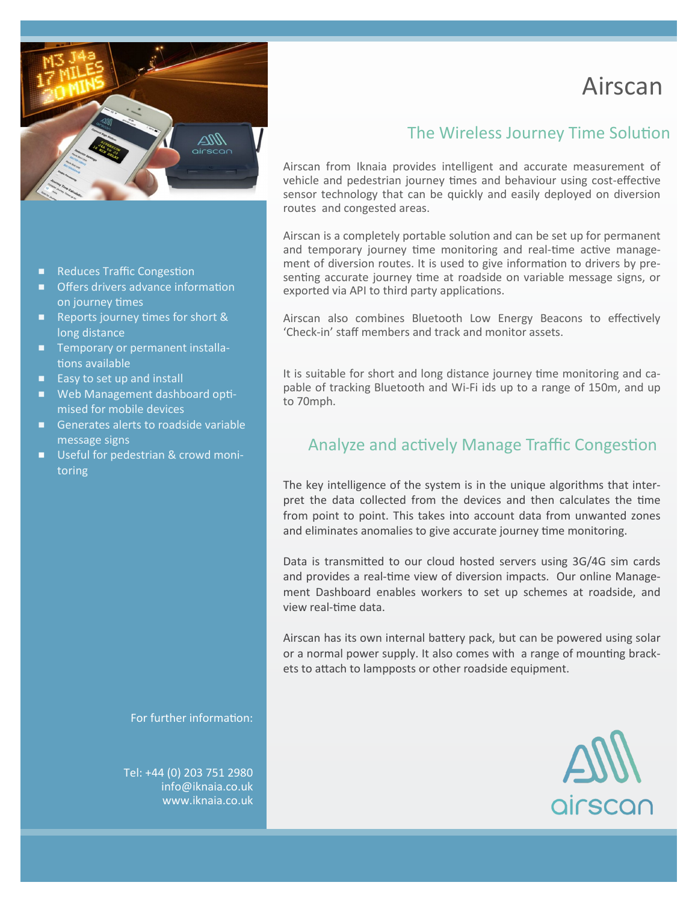

- Reduces Traffic Congestion
- Offers drivers advance information on journey times
- Reports journey times for short & long distance
- Temporary or permanent installations available
- $\blacksquare$  Easy to set up and install
- Web Management dashboard optimised for mobile devices
- Generates alerts to roadside variable message signs
- Useful for pedestrian & crowd monitoring

For further information:

Tel: +44 (0) 203 751 2980 info@iknaia.co.uk www.iknaia.co.uk

# Airscan

# The Wireless Journey Time Solution

Airscan from Iknaia provides intelligent and accurate measurement of vehicle and pedestrian journey times and behaviour using cost-effective sensor technology that can be quickly and easily deployed on diversion routes and congested areas.

Airscan is a completely portable solution and can be set up for permanent and temporary journey time monitoring and real-time active management of diversion routes. It is used to give information to drivers by presenting accurate journey time at roadside on variable message signs, or exported via API to third party applications.

Airscan also combines Bluetooth Low Energy Beacons to effectively 'Check-in' staff members and track and monitor assets.

It is suitable for short and long distance journey time monitoring and capable of tracking Bluetooth and Wi-Fi ids up to a range of 150m, and up to 70mph.

# Analyze and actively Manage Traffic Congestion

The key intelligence of the system is in the unique algorithms that interpret the data collected from the devices and then calculates the time from point to point. This takes into account data from unwanted zones and eliminates anomalies to give accurate journey time monitoring.

Data is transmitted to our cloud hosted servers using 3G/4G sim cards and provides a real-time view of diversion impacts. Our online Management Dashboard enables workers to set up schemes at roadside, and view real-time data.

Airscan has its own internal battery pack, but can be powered using solar or a normal power supply. It also comes with a range of mounting brackets to attach to lampposts or other roadside equipment.